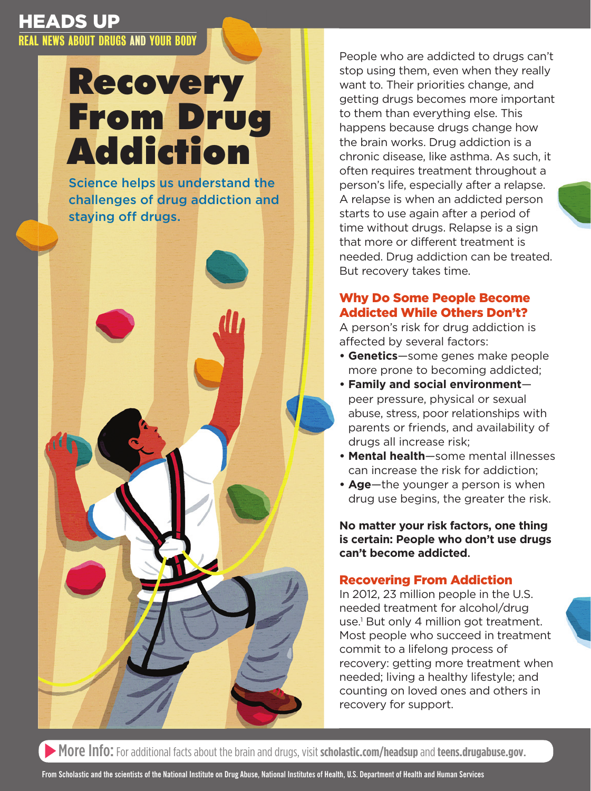# Recovery From Drug Addiction Addiction

Science helps us understand the the challenges of drug addiction challenges of drug addiction and staying off drugs.



People who are addicted to drugs can't stop using them, even when they really want to. Their priorities change, and getting drugs becomes more important to them than everything else. This happens because drugs change how the brain works. Drug addiction is a chronic disease, like asthma. As such, it often requires treatment throughout a person's life, especially after a relapse. A relapse is when an addicted person starts to use again after a period of time without drugs. Relapse is a sign that more or different treatment is needed. Drug addiction can be treated. But recovery takes time.

# Why Do Some People Become Addicted While Others Don't?

A person's risk for drug addiction is affected by several factors:

- **Genetics**—some genes make people more prone to becoming addicted;
- **Family and social environment** peer pressure, physical or sexual abuse, stress, poor relationships with parents or friends, and availability of drugs all increase risk;
- **Mental health**—some mental illnesses can increase the risk for addiction;
- **Age**—the younger a person is when drug use begins, the greater the risk.

**No matter your risk factors, one thing is certain: People who don't use drugs can't become addicted.** 

# Recovering From Addiction

In 2012, 23 million people in the U.S. needed treatment for alcohol/drug use.1 But only 4 million got treatment. Most people who succeed in treatment commit to a lifelong process of recovery: getting more treatment when needed; living a healthy lifestyle; and counting on loved ones and others in recovery for support.

More Info: For additional facts about the brain and drugs, visit **[scholastic.com/headsup](http://scholastic.com/headsup)**and**[teens.drugabuse.gov](http://teens.drugabuse.gov)**.